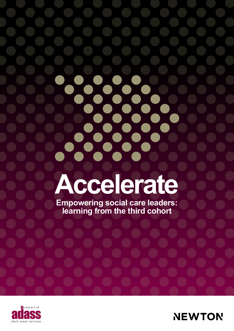# **Accelerate**

X

28

**Empowering social care leaders: learning from the third cohort**



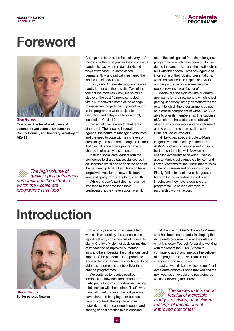

# **Foreword**



**Executive director of adult care and community wellbeing at Lincolnshire County Council, and honorary secretary of ADASS**

*The high volume of quality applicants amply demonstrates the extent to which the Accelerate programme is valued"*

Change has been at the front of everyone's minds over the past year as the coronavirus pandemic has swept aside established ways of working – in some cases permanently – and radically reshaped the landscape of social care.

This year's Accelerate programme was hardly immune to those shifts. Two of the four course modules were, like so much else over the past 15 months, hosted virtually. Meanwhile some of the changemanagement projects participants brought to the programme were subject to disruption and delay as attention rightly focused on Covid-19.

But social care is a sector that rarely stands still. The ongoing integration agenda, the nature of managing resources and the need to cope with rising levels of complexity and need are among the factors that can influence how a programme of change is ultimately implemented.

Instilling social care leaders with the confidence to chart a successful course in an uncertain world has been at the heart of the partnership ADASS and Newton have forged with Accelerate, now in its fourth year and going from strength to strength.

While this year's participants have had less face-to-face time than their predecessors, they have spoken warmly

about the tools gained from the reimagined programme – which have been put to use during the pandemic – and the relationships built with their peers. I was privileged to sit in on some of their closing presentations, which showcased the inspirational work ongoing in the sector – something this report provides a real flavour of.

Meanwhile the high volume of quality applicants for the new cohort, which is just getting underway, amply demonstrates the extent to which the programme is valued as a crucial component of what ADASS is able to offer its membership. The success of Accelerate has acted as a catalyst for other areas of our work and has informed a new programme now available to Principal Social Workers.

I'd like to pay special tribute to Marie Rogers, who has recently retired from ADASS and who is responsible for having built the partnership with Newton and enabling Accelerate to develop. Thanks also to Marie's colleagues Cathy Kerr and Letizia Mattanza for their instrumental roles in the programme and ongoing support. Finally I'd like to thank our colleagues at Newton for the expertise, flexibility and imagination they have brought to the programme – a shining example of partnership work in action.

# **Introduction**



**Steve Phillips Senior partner, Newton**

Following a year which has been filled with such uncertainty, the stories in this report feel – by contrast – full of incredible clarity. Clarity of vision, of decision-making, of impact and of improved outcomes, among others. Despite the challenges, and impact, of the pandemic, I am proud the Accelerate programme has continued to be able to support participants deliver their change programmes.

We continue to receive positive feedback on how Accelerate supports participants to form supportive and lasting relationships with their cohort. That's why I am delighted that over the last year we have started to bring together our two previous cohorts through an alumni network – and the continued support and sharing of best practice this is enabling.

I'd like to echo Glen's thanks to Marie – who has been instrumental in shaping the Accelerate programme from the outset into what it is today. We look forward to working with the rest of the ADASS team to continue to adapt and improve the delivery of the programme, as we react to the changing world around us.

Lastly, I would like to welcome our fourth Accelerate cohort – I hope that you find the next year as enjoyable and rewarding as we find delivering the course.

*The stories in this report feel full of incredible clarity – of vision, of decisionmaking, of impact and of improved outcomes"*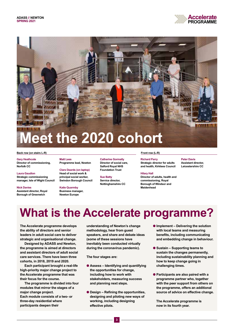



### **Back row (on stairs L-R) Front row (L-R)**

**Gary Heathcote Director of commissioning, Norfolk CC** 

### **Laura Gaudion**

**Strategic commissioning manager, Isle of Wight Council**

### **Nick Davies**

**Assistant director, Royal Borough of Greenwich**

**Matt Lees Programme lead, Newton**

**Clare Deards (on laptop) Head of social work & principal social worker, Swindon Borough Council**

### **Katie Quarmby Business manager, Newton Europe**

**Catherine Gormally Director of social care, Salford Royal NHS Foundation Trust** 

**Sue Batty Service director, Nottinghamshire CC** 

**Richard Parry Strategic director for adults and health, Kirklees Council**

### **Hilary Hall**

**Director of adults, health and commissioning, Royal Borough of Windsor and Maidenhead**

**Peter Davis Assistant director, Leicestershire CC**

# **What is the Accelerate programme?**

**The Accelerate programme develops the ability of directors and senior leaders in adult social care to deliver strategic and organisational change.**

**Designed by ADASS and Newton, the programme is aimed at directors and assistant directors of adult social care services. There have been three cohorts, in 2018, 2019 and 2020.**

**Each participant brought a real-life high-priority major change project to the Accelerate programme that was their focus for the course.**

**The programme is divided into four modules that mirror the stages of a major change project. Each module consists of a two- or three-day residential where participants deepen their** 

**understanding of Newton's change methodology, hear from guest speakers, and share and debate ideas (some of these sessions have inevitably been conducted virtually during the coronavirus pandemic).** 

**The four stages are:**

- l **Assess Identifying and quantifying the opportunities for change, including how to work with stakeholders, measuring success and planning next steps.**
- $\bullet$  **Design Refining the opportunities, designing and piloting new ways of working, including designing effective pilots.**
- $\bullet$  **Implement Delivering the solution with local teams and measuring benefits, including communicating and embedding change in behaviour.**
- l **Sustain Supporting teams to sustain the changes permanently, including sustainability planning and how to keep change going in challenging times.**
- l **Participants are also paired with a programme partner who, together with the peer support from others on the programme, offers an additional source of advice on effective change.**

**The Accelerate programme is now in its fourth year.**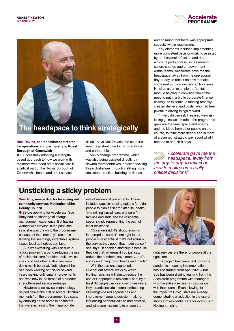



### **Nick Davies, senior assistant director for operations and partnerships, Royal Borough of Greenwich**

● "Successfully adopting a strengthbased approach to how we work with residents who need adult social care is a critical part of the Royal Borough of Greenwich's health and adult services

vision," says Nick Davies, the council's senior assistant director for operations and partnerships.

Nick's change programme, which was also being assisted directly by Newton representatives, entailed tackling those challenges through instilling more consistent practice, building resilience

and ensuring that there was appropriate capacity within reablement.

Key elements included implementing more consistent decision-making assisted by professional reflection and data, which helped address issues around culture change and empowerment within teams."Accelerate gave me the headspace, away from the operational day-to-day, to reflect on how to make some really critical decisions," Nick says. He cites as an example the 'sustain' module helping to convince him of the need to put in a bid to corporate finance colleagues to continue funding recently created delivery lead posts, who had been pivotal to driving things forward.

"If we didn't invest, I realised we'd risk losing gains we'd made – the programme gave me the time, space and energy, and the ideas from other people on the course, to think more deeply and in more of a planned, strategic way about what I needed to do," Nick says.

*Accelerate gave me the headspace, away from the day-to-day, to reflect on how to make some really critical decisions"*

### **Unsticking a sticky problem**

**Sue Batty, service director for ageing well community services, Nottinghamshire County Council**

● Before applying for Accelerate, Sue Batty had no shortage of changemanagement experience. But having worked with Newton in the past, she says she was drawn to the programme because of the company's record in tackling the seemingly intractable system issues local authorities can face.

Sue was wrestling with just such a "sticky problem", around reducing the use of residential care for older adults, which she could see other authorities were doing much better at. Nottinghamshire had been working on this for several years making only small improvements and was now in the throes of a broader strength-based service redesign.

Newton's case-review methodology helped deliver the first of several "lightbulb moments" on the programme, Sue says, by enabling her to home in on factors that were increasing the inappropriate

use of residential placements. These included gaps in housing options for older people to plan earlier for later life, health 'prescribing' social care, pressure from families and staff, and the residential option simply representing the path of least resistance.

"Once we said: it's about reducing inappropriate care, it's not right to put people in residential if that's not actually the service they need, that made sense," she says. "It enabled staff buy-in because they get that, whereas if you just say, reduce the numbers, save money, that's not a good thing to win hearts and minds."

With the barriers diagnosed, Sue set out several ways by which Nottinghamshire will aim to reduce the use of inappropriate residential care by at least 32 people per year over three years. Key strands include internal embedding of strength-based approaches and improvement around decision-making, influencing partners' culture and practice, and joint commissioning to ensure the



right services are there for people at the right time.

The project has been held up by the pandemic, meaning implementation has just started, from April 2021 – but Sue has been sharing learning from the Accelerate programme with managers, who have likewise been in discussion with their teams. Even allowing for the impact of Covid, stats are already demonstrating a reduction in the use of short-term residential care for over-65s in Nottinghamshire.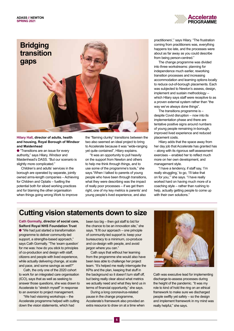



### **Hilary Hall, director of adults, health and housing, Royal Borough of Windsor and Maidenhead**

**•** "Transitions are an issue for every authority," says Hilary, Windsor and Maidenhead's DASS. "But our scenario is slightly more complicated."

Children's and adults' services in the borough are operated by separate, jointly owned arms-length companies – Achieving for Children and Optalis – fuelling the potential both for siloed working practices and for blaming the other organisation when things going wrong.Work to improve

the "flaming clunky" transitions between the two also seemed an ideal project to bring to Accelerate because it was "wide-ranging yet quite contained", Hilary explains.

"It was an opportunity to pull heavily on the support from Newton and others to help me think through things, and to use some of the programme's tools," she says."When I talked to parents of young people who have been through transitions, what they were describing was the impact of really poor processes – if we get them right, one of my key metrics is parents' and young people's lived experience, and also

practitioners'," says Hilary. "The frustration coming from practitioners was, everything happens too late, and the processes were about as far away as you could describe from being person-centred."

The change programme was divided into three workstreams: planning for independence much earlier, reworking transition processes and increasing accommodation and learning options locally to reduce out-of-borough placements. Each was subjected to Newton's assess, design, implement and sustain methodology – which Hilary says staff were receptive to as a proven external system rather than "the way we've always done things".

The transitions programme is – despite Covid disruption – now into its implementation phase and there are tentative positive signs around numbers of young people remaining in-borough, improved lived experience and reduced placement costs.

Hilary adds that the space away from her day job that Accelerate has granted has – along with its rigorous self-assessment exercises – enabled her to reflect much more on her own development, and management style.

"I have a tendency, if staff say, 'I'm really struggling,' to go, 'I'll take that on for you,'" she says. "I have really worked hard on having much more of a coaching style – rather than rushing to help, actually getting people to come up with their own solutions."

### **Cutting vision statements down to size**

**Cath Gormally, director of social care, Salford Royal NHS Foundation Trust** l "We had just started a transformation programme to deliver community-led support, a strengths-based approach." says Cath Gormally. "The 'exam question' for me was: how do you stick to principles of co-production and design with staff, citizens and people with lived experience, while actually delivering change, at scale and pace, and some savings as well?"

Cath, the only one of the 2020 cohort to work for an integrated care organisation (ICO), says that as well as seeking to answer those questions, she was drawn to Accelerate to "stretch myself" in response to an aversion to project management.

"We had visioning workshops – the Accelerate programme helped with cutting down the vision statements, which had

been too big – then got staff to bid for the chance to be an innovation site," she says. "It fit our approach – one principle of community-led support is: keep your bureaucracy to a minimum, co-produce and co-design with people, and avoid jargon where you can."

Cath says that without her learning from the programme she would also have been less able to challenge her project team. "It's helped me really interrogate the KPIs and the plan, keeping that stuff in the background so it doesn't turn staff off, but being really clear about what metrics we actually need and what they lend us in terms of financial opportunity," she says.

During a long coronavirus-related pause in the change programme, Accelerate's framework also provided an extra resource to draw on at a time when



Cath was executive lead for implementing discharge-to-assess processes during the height of the pandemic. "It was my role to kind of hold the ring on an ethical framework to make sure we discharged people swiftly yet safely – so the design and implement framework in my mind was really helpful," she says.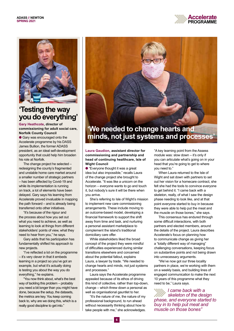



### **'Testing the way you do everything'**

**Gary Heathcote, director of commissioning for adult social care, Norfolk County Council**

**e** Gary was encouraged onto the Accelerate programme by his DASS James Bullion, the former ADASS president, as an ideal self-development opportunity that could help him broaden his role at Norfolk.

The change project he selected – redesigning the county's fragmented and unstable home care market around a smaller number of strategic partners – has been affected by Covid-19 and while its implementation is running on track, a lot of elements have been delayed. Gary says his learning from Accelerate proved invaluable in mapping the path forward – and is already being transferred onto other initiatives.

"It's because of the rigour and the process about how you set out what you need to achieve, as well as learning to look at things from different stakeholders' points of view, what they need to hear from you," he says.

Gary adds that his participation has fundamentally shifted his approach to new projects.

"I've reflected a lot on the programme – it's very clever in that it embeds learning in a project so you've got an example, but what it's actually doing is testing you about the way you do everything," he explains.

"You now think about, what's the best way of tackling this problem – probably you need a bit longer than you might have done, because the setup, the datasets, the metrics are key. You keep coming back to, why are we doing this, which is a really good discipline to get into."



# **minds, not just systems and processes'**

**Laura Gaudion, assistant director for commissioning and partnership and head of continuing healthcare, Isle of Wight Council**

● "Everyone thought it was a great idea but also impossible," recalls Laura of the change project she brought to Accelerate. "It was like a unicorn on the horizon – everyone wants to go and touch it, but nobody's sure it will be there when you arrive.

She's referring to Isle of Wight's mission to implement new care commissioning arrangements. These include moving to an outcome-based model, developing a financial framework to support the shift away from time and task, and nurturing a personal assistant marketplace to complement the island's traditional domiciliary care offer.

While stakeholders liked the broad concept of the project they were mindful of difficulties experienced during similar transitions elsewhere and concerned about the potential fallout, explains Laura, a lawyer by trade. "We needed to change hearts and minds, not just systems and processes."

Laura says the Accelerate programme appealed because of its ethos of driving this kind of collective, rather than top-down, change – which threw down a personal as well as organisational gauntlet to her.

"It's the nature of me, the nature of my professional background, to run ahead without necessarily thinking about how to take people with me," she acknowledges. "A key learning point from the Assess module was: slow down – it's only if you can articulate what's going on in your head that you're going to get to where you need to."

When Laura returned to the Isle of Wight and sat down with partners to set out her vision for a homecare contract, she felt she had the tools to convince everyone to get behind it. "I came back with a skeleton, really, of what I saw the design phase needing to look like, and at that point everyone started to buy in because they were able to help put the meat and the muscle on those bones," she says.

This consensus has endured through some difficult interactions, with both partners and elected members, around the details of the project. Laura describes Accelerate's focus on planning how to communicate change as giving her a "totally different way of managing" challenging conversations, keeping focus on substantive points and not being drawn into unnecessary arguments.

"We've now got our three locality partners in place, we're working with them on a weekly basis, and building lines of engaged communication to make the next 10 years of this programme what they need to be," Laura says.

*I came back with a skeleton of the design phase, and everyone started to buy in to help put meat and muscle on those bones"*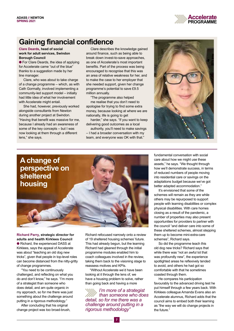

### **Gaining financial confidence**

### **Clare Deards, head of social work for adult services, Swindon Borough Council**

**• For Clare Deards, the idea of applying** for Accelerate came "out of the blue" thanks to a suggestion made by her line manager.

Clare, who was about to take charge of a change programme – which, as with Cath Gormally, involved implementing a community-led support model – initially had little idea of what her involvement with Accelerate might entail.

She had, however, previously worked alongside consultants from Newton during another project at Swindon. "Having that benefit was massive for me, because I already had an awareness of some of the key concepts – but I was now looking at them through a different lens," she says.

Clare describes the knowledge gained around finance, such as being able to break down invest-to-save approaches, as one of Accelerate's most important benefits. Part of the process was being encouraged to recognise that this was an area of relative weakness for her, and to make the case to her employer that she needed support, given her change programme's potential to save £9.5 million annually.

"The programme also helped

me realise that you don't need to apologise for trying to find some extra money, because looking at where we are nationally, life is going to get

harder," she says. "If you want to keep delivering good outcomes as a local

authority, you'll need to make savings – I had a broader conversation with my team, and everyone was OK with that."





**Richard Parry, strategic director for adults and health Kirklees Council** ● Richard, the experienced DASS at Kirklees, says the appeal of Accelerate was about "teaching an old dog new tricks", given that people in top-level roles can become distanced from the nitty-gritty of change programmes.

"You need to be continuously challenged, and reflecting on what you do and don't know," he says. "I'm more of a strategist than someone who does detail, and am quite organic in my approach, so for me there was just something about the challenge around putting in a rigorous methodology."

After concluding that his original change project was too broad-brush, Richard refocused narrowly onto a review of 19 sheltered housing schemes' future. This had already begun, but the learning Richard had gleaned through the initial programme modules enabled him to coach colleagues involved in the review, taking them back to the visioning stage to reassess motives and KPIs.

"Without Accelerate we'd have been looking at it through the lens of, we have a housing problem to solve, rather than going back and having a more

*I'm more of a strategist than someone who does detail, so for me there was a challenge around putting in a rigorous methodology"*

fundamental conversation with social care about how we might use these assets," he says. "We thought through how we'll demonstrate success, in terms of reduced numbers of people moving into residential care or savings on the adaptations budget because we've got better adapted accommodation."

It's envisioned that some of the schemes will remain as they are while others may be repurposed to support people with learning disabilities or complex physical disabilities. With care homes closing as a result of the pandemic, a number of properties may also present opportunities for providers to partner with the council "and deliver care into some of these sheltered schemes, almost stepping them up to become mini-extra-care schemes", Richard says.

So did the programme teach this old dog new tricks? Richard says that while there was "not an awful lot that was profoundly new", the experience spotlighted areas he reflexively tended to avoid, and others he had got so comfortable with that he sometimes coasted through them.

He compares his participation favourably to the advanced driving test he put himself through a few years back. With Kirklees colleague Amanda Evans also an Accelerate alumnus, Richard adds that the council aims to embed both their learning as "the way we will do change projects in the future."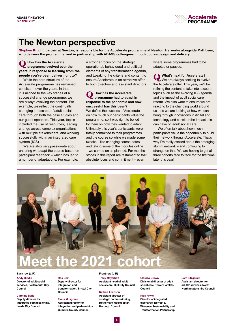

## **The Newton perspective**

**Stephen Knight, partner at Newton, is responsible for the Accelerate programme at Newton. He works alongside Matt Lees, who delivers the programme, and in partnership with ADASS colleagues in both course design and delivery.**

**Q How has the Accelerate programme evolved over the years in response to learning from the people you've been delivering it to?**

While the core structure of the Accelerate programme has remained consistent over the years, in that it is aligned to the key stages of a successful change programme, we are always evolving the content. For example, we reflect the continually changing landscape of adult social care through both the case studies and our guest speakers. This year, topics included the use of resources, leading change across complex organisations with multiple stakeholders, and working successfully within an integrated care system (ICS).

We are also very passionate about ensuring we adapt the course based on participant feedback – which has led to a number of adaptations. For example,

a stronger focus on the strategic, operational, behavioural and political elements of any transformation agenda, and tweaking the criteria and content to ensure Accelerate is an attractive offer to both directors and assistant directors.

**Q How has the Accelerate programme had to adapt in response to the pandemic and how successful has this been?** We define the success of Accelerate on how much our participants value the programme, so it was right to be led by them on how they wanted to adapt. Ultimately this year's participants were totally committed to their programmes and the course so while we made some tweaks – like changing course dates and taking some of the modules online – we carried on as planned. For me, the stories in this report are testament to that absolute focus and commitment – even

where some programmes had to be adapted or paused.

**Q What's next for Accelerate?** We are always seeking to evolve the Accelerate offer. This year, we'll be refining the content to take into account topics such as the evolving ICS agenda, and the impact of adult social care reform. We also want to ensure we are reacting to the changing world around us – so we are looking at how we can bring through innovations in digital and technology and consider the impact this can have on adult social care.

We often talk about how much participants value the opportunity to build their network through Accelerate. That's why I'm really excited about the emerging alumni network – and continuing to strengthen that. We are hoping to get all three cohorts face to face for the first time later this year!



### **Back row (L-R) Front row (L-R)**

**Andy Biddle Director of adult social services, Portsmouth City Council**

### **Caroline Baria**

**Deputy director for integrated commissioning, Leeds City Council**

**Ros Cox Deputy director for integration and transformation, Bristol City Council**

### **Fiona Musgrave**

**Assistant director for integration and partnerships, Cumbria County Council**

**Tracy Meyerhoff Assistant head of adult social care, Hull City Council**

### **Nathan Atkinson**

**Assistant director of strategic commissioning, Rotherham Metropolitan Borough Council**

### **Claudia Brown Divisional director of adult social care, Tower Hamlets Council**

### **Nick Pryke**

**Director of integrated discharge, Norfolk & Waveney Sustainability and Transformation Partnership**

### **Sam Fitzgerald**

**Assistant director for adults' services, North Northamptonshire Council**

### **8**